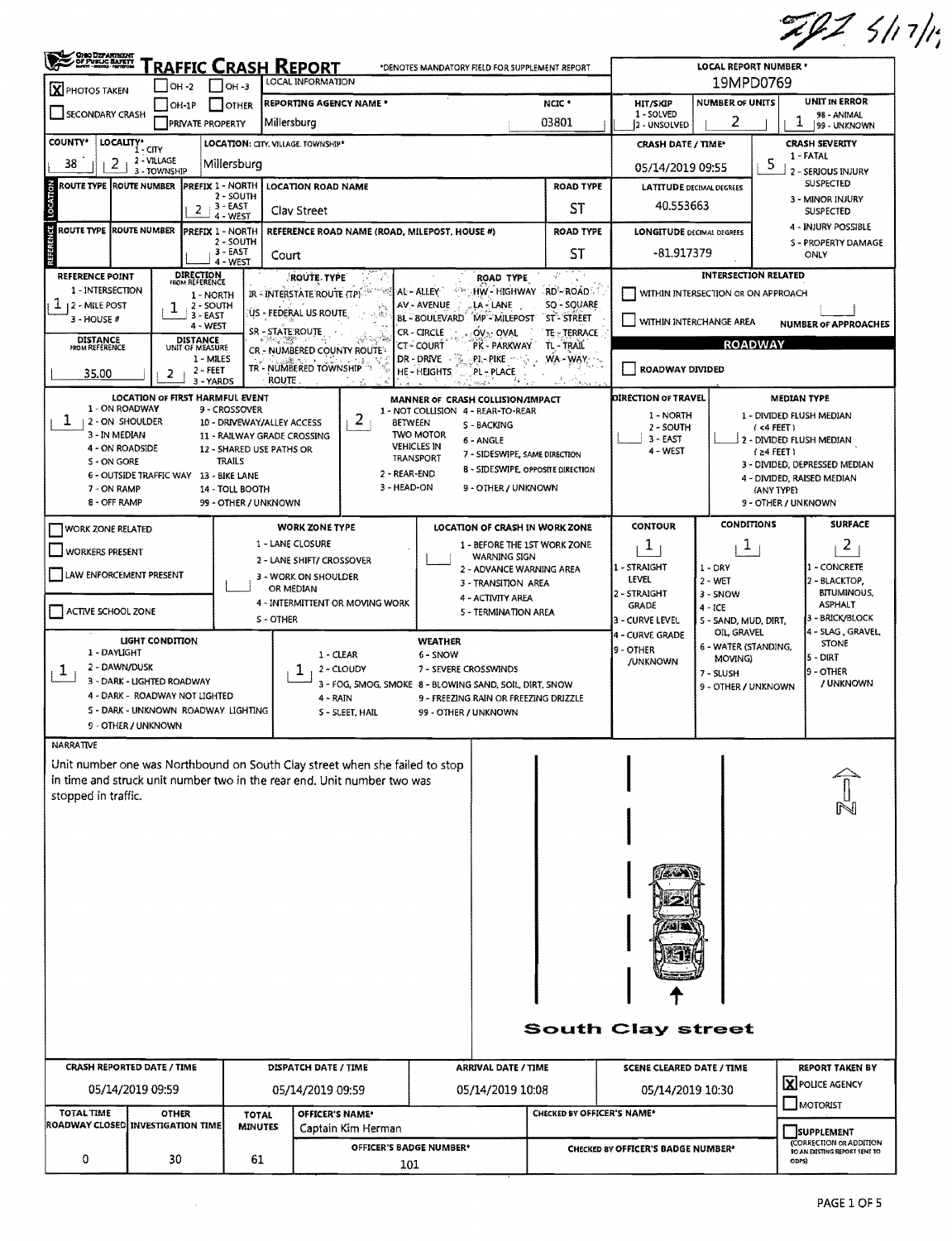|                                                                                                                                                                                                |                                                                                  |                                                                                                                                                       |                                                                           |                                                                                                                                                 |                                                                                                                                                        |                                                                                       |                                                                                                                                                            |                                                                                           |                                                                                  |                                                                                    |                                                                                      | ZIZ 5/17/19                                                                                                         |  |  |  |
|------------------------------------------------------------------------------------------------------------------------------------------------------------------------------------------------|----------------------------------------------------------------------------------|-------------------------------------------------------------------------------------------------------------------------------------------------------|---------------------------------------------------------------------------|-------------------------------------------------------------------------------------------------------------------------------------------------|--------------------------------------------------------------------------------------------------------------------------------------------------------|---------------------------------------------------------------------------------------|------------------------------------------------------------------------------------------------------------------------------------------------------------|-------------------------------------------------------------------------------------------|----------------------------------------------------------------------------------|------------------------------------------------------------------------------------|--------------------------------------------------------------------------------------|---------------------------------------------------------------------------------------------------------------------|--|--|--|
| OHO DEPARTMENT                                                                                                                                                                                 |                                                                                  |                                                                                                                                                       |                                                                           | <u>RAFFIC CRASH REPORT</u><br>LOCAL INFORMATION                                                                                                 |                                                                                                                                                        |                                                                                       | *DENOTES MANDATORY FIELD FOR SUPPLEMENT REPORT                                                                                                             |                                                                                           |                                                                                  | LOCAL REPORT NUMBER *<br>19MPD0769                                                 |                                                                                      |                                                                                                                     |  |  |  |
| <b>X</b> PHOTOS TAKEN                                                                                                                                                                          | OH -2<br>$ OH-1P $                                                               |                                                                                                                                                       | $ OH - 3 $<br>  OTHER                                                     | <b>REPORTING AGENCY NAME *</b>                                                                                                                  |                                                                                                                                                        |                                                                                       |                                                                                                                                                            | NCIC *                                                                                    | <b>HIT/SKIP</b>                                                                  | <b>NUMBER OF UNITS</b>                                                             |                                                                                      | <b>UNIT IN ERROR</b>                                                                                                |  |  |  |
| SECONDARY CRASH                                                                                                                                                                                |                                                                                  | <b>PRIVATE PROPERTY</b>                                                                                                                               |                                                                           | Millersburg                                                                                                                                     |                                                                                                                                                        |                                                                                       |                                                                                                                                                            | 03801                                                                                     | 1 - SOLVED<br>2 - UNSOLVED                                                       | 2                                                                                  | 1                                                                                    | 98 - ANIMAL<br>99 - UNKNOWN                                                                                         |  |  |  |
| <b>COUNTY*</b>                                                                                                                                                                                 | LOCALITY* CITY                                                                   |                                                                                                                                                       |                                                                           | LOCATION: CITY, VILLAGE, TOWNSHIP*                                                                                                              |                                                                                                                                                        |                                                                                       |                                                                                                                                                            |                                                                                           | <b>CRASH DATE / TIME*</b>                                                        |                                                                                    |                                                                                      | <b>CRASH SEVERITY</b>                                                                                               |  |  |  |
| 2<br>38                                                                                                                                                                                        | 2 - VILLAGE<br>3 - TOWNSHIP                                                      |                                                                                                                                                       | Millersburg                                                               |                                                                                                                                                 |                                                                                                                                                        |                                                                                       |                                                                                                                                                            |                                                                                           | 05/14/2019 09:55                                                                 |                                                                                    | 5.                                                                                   | 1 - FATAL<br>2 - SERIOUS INJURY                                                                                     |  |  |  |
| ROUTE TYPE ROUTE NUMBER                                                                                                                                                                        |                                                                                  |                                                                                                                                                       | 2 - SOUTH                                                                 | PREFIX 1 - NORTH   LOCATION ROAD NAME                                                                                                           |                                                                                                                                                        | <b>ROAD TYPE</b>                                                                      |                                                                                                                                                            |                                                                                           | <b>LATITUDE DECIMAL DEGREES</b>                                                  |                                                                                    |                                                                                      | <b>SUSPECTED</b><br>3 - MINOR INJURY                                                                                |  |  |  |
| $2^{13}$ EAST<br>Clay Street<br>4 - WEST                                                                                                                                                       |                                                                                  |                                                                                                                                                       |                                                                           |                                                                                                                                                 |                                                                                                                                                        | ST                                                                                    |                                                                                                                                                            |                                                                                           | 40.553663                                                                        |                                                                                    |                                                                                      | <b>SUSPECTED</b>                                                                                                    |  |  |  |
| <b>ROUTE TYPE ROUTE NUMBER</b><br><b>PREFIX 1 - NORTH</b><br>2 - SOUTH<br>$3 - EAST$<br>Court<br>$4 - WEST$                                                                                    |                                                                                  |                                                                                                                                                       |                                                                           |                                                                                                                                                 | REFERENCE ROAD NAME (ROAD, MILEPOST, HOUSE #)                                                                                                          |                                                                                       |                                                                                                                                                            | <b>ROAD TYPE</b><br>ST                                                                    | <b>LONGITUDE DECIMAL DEGREES</b><br>$-81.917379$                                 |                                                                                    |                                                                                      | 4 - INJURY POSSIBLE<br>S - PROPERTY DAMAGE<br>ONLY                                                                  |  |  |  |
| <b>REFERENCE POINT</b><br>1 - INTERSECTION<br>$1_{12}$ - MILE POST<br>3 - HOUSE #<br><b>DISTANCE</b><br>FROM REFERENCE<br>35.00                                                                | 2                                                                                | <b>DIRECTION</b><br>FROM REFERENCE<br>1 - NORTH<br>2 - SOUTH<br>3 - EAST<br>4 - WEST<br><b>DISTANCE</b><br>UNIT OF MEASURE<br>1 - MILES<br>$2 - FEET$ |                                                                           | ROUTE- TYPE!<br>IR - INTERSTATE ROUTE (TP)<br>US - FEDERAL US ROUTE<br>SR - STATE ROUTE<br>CR - NUMBERED COUNTY ROUTE<br>TR - NUMBERED TOWNSHIP |                                                                                                                                                        | AL-ALLEY<br>AV - AVENUE<br>CR-CIRCLE<br><b>CT-COURT</b><br>DR - DRIVE<br>HE - HEIGHTS | ROAD TYPE<br>, LA - LANE<br>BL-BOULEVARD MP-MILEPOST ST-STREET<br>OV- OVAL<br>PK - PARKWAY TL - TRAIL<br>.PI – PIKE<br>PL-PLACE                            | $\rightarrow$ HW - HIGHWAY RD - ROAD.<br><b>SO - SOUARE</b><br>TE - TERRACE<br>$WA - WAY$ | WITHIN INTERSECTION OR ON APPROACH<br>WITHIN INTERCHANGE AREA<br>ROADWAY DIVIDED | <b>INTERSECTION RELATED</b><br><b>ROADWAY</b>                                      |                                                                                      | <b>NUMBER OF APPROACHES</b>                                                                                         |  |  |  |
| 1 - ON ROADWAY<br>$\mathbf{I}$<br>  2 - ON SHOULDER<br>3 - IN MEDIAN<br>4 - ON ROADSIDE<br>S - ON GORE<br>7 - ON RAMP<br>8 - OFF RAMP                                                          | <b>LOCATION OF FIRST HARMFUL EVENT</b><br>6 - OUTSIDE TRAFFIC WAY 13 - BIKE LANE | 3 - YARDS                                                                                                                                             | 9 - CROSSOVER<br><b>TRAILS</b><br>14 - TOLL BOOTH<br>99 - OTHER / UNKNOWN | ROUTE<br>10 - DRIVEWAY/ALLEY ACCESS<br>11 - RAILWAY GRADE CROSSING<br>12 - SHARED USE PATHS OR                                                  | 2<br><b>BETWEEN</b><br>2 - REAR-END<br>3 - HEAD-ON                                                                                                     | <b>TWO MOTOR</b><br><b>VEHICLES IN</b><br>TRANSPORT                                   | MANNER OF CRASH COLLISION/IMPACT<br>1 - NOT COLLISION 4 - REAR-TO-REAR<br>S - BACKING<br>6 - ANGLE<br>7 - SIDESWIPE, SAME DIRECTION<br>9 - OTHER / UNKNOWN | 8 - SIDESWIPE, OPPOSITE DIRECTION                                                         | <b>DIRECTION OF TRAVEL</b><br>1 - NORTH<br>2 - SOUTH<br>3 - EAST<br>4 - WEST     |                                                                                    | <b>MEDIAN TYPE</b><br>$(4$ FEET)<br>$(24$ FEET)<br>(ANY TYPE)<br>9 - OTHER / UNKNOWN | 1 - DIVIDED FLUSH MEDIAN<br>2 - DIVIDED FLUSH MEDIAN<br>3 - DIVIDEO, DEPRESSED MEDIAN<br>4 - DIVIDED, RAISED MEDIAN |  |  |  |
| WORK ZONE RELATED                                                                                                                                                                              |                                                                                  |                                                                                                                                                       |                                                                           | <b>WORK ZONE TYPE</b>                                                                                                                           |                                                                                                                                                        |                                                                                       | LOCATION OF CRASH IN WORK ZONE                                                                                                                             |                                                                                           | <b>CONTOUR</b>                                                                   | <b>CONDITIONS</b>                                                                  |                                                                                      | <b>SURFACE</b>                                                                                                      |  |  |  |
| 1 - LANE CLOSURE<br>U WORKERS PRESENT                                                                                                                                                          |                                                                                  |                                                                                                                                                       |                                                                           |                                                                                                                                                 |                                                                                                                                                        |                                                                                       | 1 - BEFORE THE 1ST WORK ZONE<br><b>WARNING SIGN</b>                                                                                                        |                                                                                           | $\mathbf{I}$                                                                     | $\mathbf{I}$                                                                       |                                                                                      | 2                                                                                                                   |  |  |  |
| 2 - LANE SHIFT/ CROSSOVER<br>LAW ENFORCEMENT PRESENT<br>3 - WORK ON SHOULDER                                                                                                                   |                                                                                  |                                                                                                                                                       |                                                                           |                                                                                                                                                 |                                                                                                                                                        |                                                                                       | 2 - ADVANCE WARNING AREA<br>3 - TRANSITION AREA                                                                                                            |                                                                                           | 1 - STRAIGHT<br>LEVEL                                                            | $1 - DRY$<br>2 - WET                                                               |                                                                                      | 1 - CONCRETE<br>2 - BLACKTOP,                                                                                       |  |  |  |
| OR MEDIAN<br>ACTIVE SCHOOL ZONE<br>S - OTHER                                                                                                                                                   |                                                                                  |                                                                                                                                                       |                                                                           | 4 - INTERMITTENT OR MOVING WORK                                                                                                                 | 4 - ACTIVITY AREA<br>5 - TERMINATION AREA                                                                                                              | 2 - STRAIGHT<br><b>GRADE</b><br>3 - CURVE LEVEL                                       | 3 - SNOW<br>$4 - ICE$<br>5 - SAND, MUD, DIRT,                                                                                                              |                                                                                           | <b>BITUMINOUS,</b><br><b>ASPHALT</b><br>3 - BRICK/BLOCK                          |                                                                                    |                                                                                      |                                                                                                                     |  |  |  |
| LIGHT CONDITION<br>1 - DAYLIGHT<br>2 - DAWN/DUSK<br>$\mathbf{I}$<br>3 - DARK - LIGHTED ROADWAY<br>4 - DARK - ROADWAY NOT LIGHTED<br>S - DARK - UNKNOWN ROADWAY LIGHTING<br>9 - OTHER / UNKNOWN |                                                                                  |                                                                                                                                                       |                                                                           |                                                                                                                                                 | 1 - CLEAR<br>2 - CLOUDY<br>3 - FOG, SMOG, SMOKE 8 - BLOWING SAND, SOIL, DIRT, SNOW<br>4 - RAIN<br>S - SLEET, HAIL                                      | WEATHER<br>6 - SNOW<br>7 - SEVERE CROSSWINDS<br>99 - OTHER / UNKNOWN                  | 9 - FREEZING RAIN OR FREEZING DRIZZLE                                                                                                                      |                                                                                           | 4 - CURVE GRADE<br>9 - OTHER<br><b>/UNKNOWN</b>                                  | OIL, GRAVEL<br>6 - WATER (STANDING,<br>MOVING)<br>7 - SLUSH<br>9 - OTHER / UNKNOWN |                                                                                      | 4 - SLAG, GRAVEL,<br><b>STONE</b><br>$5 - DIRT$<br>9 - OTHER<br>/ UNKNOWN                                           |  |  |  |
| NARRATIVE                                                                                                                                                                                      |                                                                                  |                                                                                                                                                       |                                                                           |                                                                                                                                                 |                                                                                                                                                        |                                                                                       |                                                                                                                                                            |                                                                                           |                                                                                  |                                                                                    |                                                                                      |                                                                                                                     |  |  |  |
| stopped in traffic.                                                                                                                                                                            |                                                                                  |                                                                                                                                                       |                                                                           |                                                                                                                                                 | Unit number one was Northbound on South Clay street when she failed to stop<br>in time and struck unit number two in the rear end. Unit number two was |                                                                                       |                                                                                                                                                            |                                                                                           |                                                                                  |                                                                                    |                                                                                      |                                                                                                                     |  |  |  |
|                                                                                                                                                                                                |                                                                                  |                                                                                                                                                       |                                                                           |                                                                                                                                                 |                                                                                                                                                        |                                                                                       |                                                                                                                                                            |                                                                                           |                                                                                  |                                                                                    |                                                                                      |                                                                                                                     |  |  |  |
|                                                                                                                                                                                                |                                                                                  |                                                                                                                                                       |                                                                           |                                                                                                                                                 |                                                                                                                                                        |                                                                                       |                                                                                                                                                            |                                                                                           | <b>South Clay street</b>                                                         |                                                                                    |                                                                                      |                                                                                                                     |  |  |  |
| <b>CRASH REPORTED DATE / TIME</b>                                                                                                                                                              |                                                                                  |                                                                                                                                                       |                                                                           | DISPATCH DATE / TIME                                                                                                                            |                                                                                                                                                        |                                                                                       | <b>ARRIVAL DATE / TIME</b>                                                                                                                                 |                                                                                           | SCENE CLEARED DATE / TIME                                                        |                                                                                    |                                                                                      | <b>REPORT TAKEN BY</b><br>X POLICE AGENCY                                                                           |  |  |  |
|                                                                                                                                                                                                | 05/14/2019 09:59                                                                 |                                                                                                                                                       |                                                                           | 05/14/2019 09:59                                                                                                                                |                                                                                                                                                        | 05/14/2019 10:08                                                                      |                                                                                                                                                            |                                                                                           | 05/14/2019 10:30                                                                 |                                                                                    |                                                                                      | $\Box$ MOTORIST                                                                                                     |  |  |  |
| <b>TOTAL TIME</b><br>ROADWAY CLOSED  INVESTIGATION TIME                                                                                                                                        | <b>OTHER</b>                                                                     |                                                                                                                                                       | <b>TOTAL</b><br><b>MINUTES</b>                                            |                                                                                                                                                 | OFFICER'S NAME*<br>Captain Kim Herman                                                                                                                  |                                                                                       |                                                                                                                                                            | CHECKED BY OFFICER'S NAME*                                                                |                                                                                  |                                                                                    |                                                                                      | <b>SUPPLEMENT</b>                                                                                                   |  |  |  |
|                                                                                                                                                                                                |                                                                                  |                                                                                                                                                       |                                                                           |                                                                                                                                                 | OFFICER'S BADGE NUMBER*                                                                                                                                |                                                                                       |                                                                                                                                                            |                                                                                           | CHECKED BY OFFICER'S BADGE NUMBER*                                               |                                                                                    |                                                                                      | (CORRECTION OR ADDITION<br>TO AN EXISTING REPORT SENT TO                                                            |  |  |  |
| 0                                                                                                                                                                                              | 30                                                                               |                                                                                                                                                       | 61                                                                        |                                                                                                                                                 | 101                                                                                                                                                    |                                                                                       |                                                                                                                                                            |                                                                                           |                                                                                  |                                                                                    |                                                                                      | ODPS)                                                                                                               |  |  |  |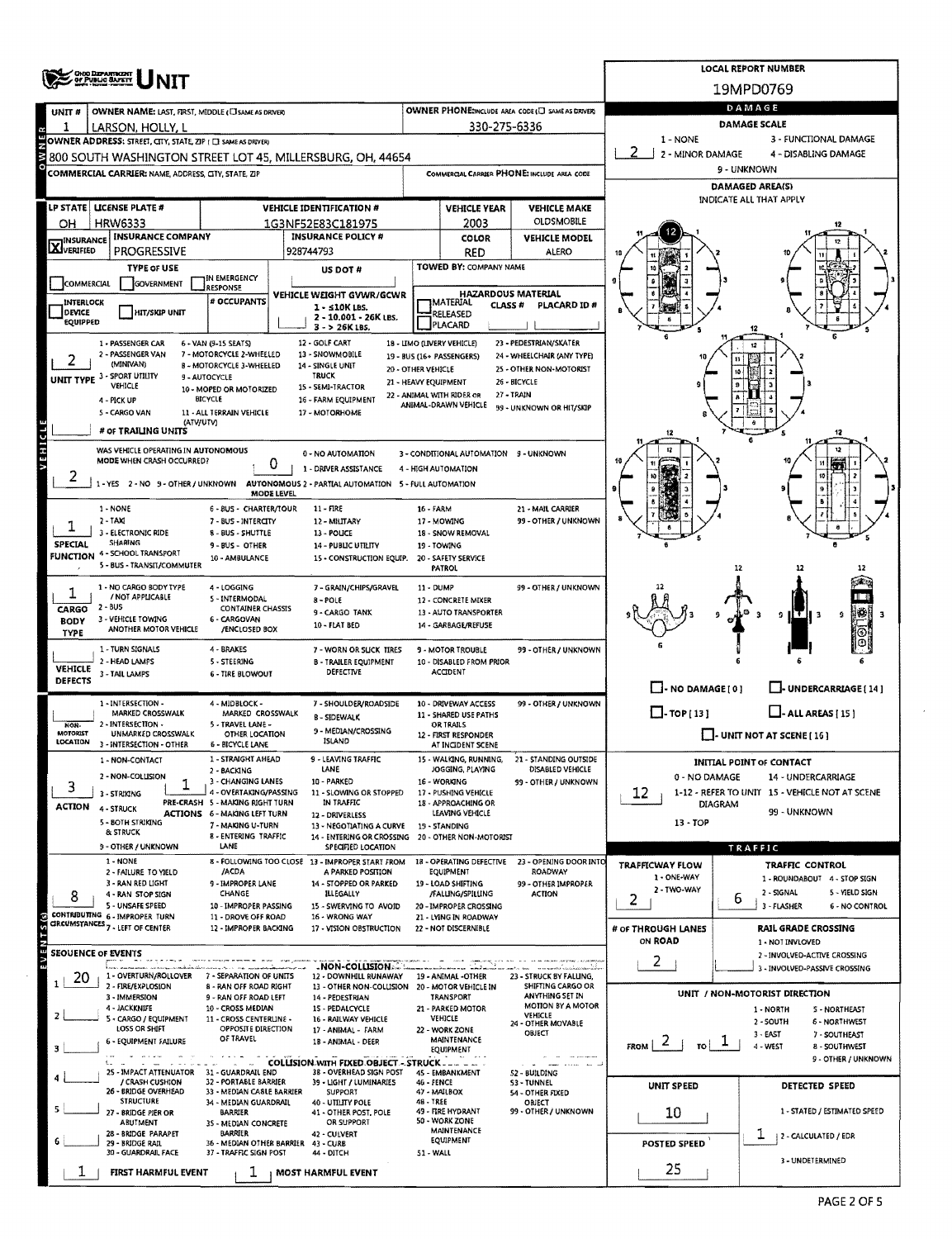|                           | <b>CHOO DEPARTMENT</b><br>OF PUBLIC BATKIY                                                                                 |                                                               | <b>LOCAL REPORT NUMBER</b>                                                                 |                                                     |                                                         |                                                       |                                                                                  |                                                                    |  |  |  |  |  |  |
|---------------------------|----------------------------------------------------------------------------------------------------------------------------|---------------------------------------------------------------|--------------------------------------------------------------------------------------------|-----------------------------------------------------|---------------------------------------------------------|-------------------------------------------------------|----------------------------------------------------------------------------------|--------------------------------------------------------------------|--|--|--|--|--|--|
|                           | <b>NIT</b>                                                                                                                 |                                                               |                                                                                            |                                                     |                                                         |                                                       |                                                                                  | 19MPD0769                                                          |  |  |  |  |  |  |
| UNIT #                    | OWNER NAME: LAST, FIRST, MIDDLE (USAME AS DRIVER)                                                                          |                                                               | OWNER PHONE:INCLUDE AREA CODE (C) SAME AS DRIVER                                           | DAMAGE                                              |                                                         |                                                       |                                                                                  |                                                                    |  |  |  |  |  |  |
| 1                         | LARSON, HOLLY, L                                                                                                           |                                                               | 330-275-6336                                                                               | DAMAGE SCALE<br>$1 - NONE$<br>3 - FUNCTIONAL DAMAGE |                                                         |                                                       |                                                                                  |                                                                    |  |  |  |  |  |  |
|                           | OWNER ADDRESS: STREET, CITY, STATE, ZIP ( C) SAME AS DRIVER)<br>800 SOUTH WASHINGTON STREET LOT 45, MILLERSBURG, OH, 44654 |                                                               | 2 - MINOR DAMAGE                                                                           | 4 - DISABLING DAMAGE                                |                                                         |                                                       |                                                                                  |                                                                    |  |  |  |  |  |  |
|                           | COMMERCIAL CARRIER: NAME, ADDRESS, CITY, STATE, ZIP                                                                        |                                                               | COMMERCIAL CARRIER PHONE: INCLUDE AREA CODE                                                | 9 - UNKNOWN                                         |                                                         |                                                       |                                                                                  |                                                                    |  |  |  |  |  |  |
|                           |                                                                                                                            |                                                               |                                                                                            |                                                     |                                                         |                                                       | <b>DAMAGED AREA(S)</b>                                                           |                                                                    |  |  |  |  |  |  |
|                           | LP STATE LICENSE PLATE #                                                                                                   |                                                               | <b>VEHICLE IDENTIFICATION #</b>                                                            |                                                     | <b>VEHICLE YEAR</b>                                     | <b>VEHICLE MAKE</b>                                   | INDICATE ALL THAT APPLY                                                          |                                                                    |  |  |  |  |  |  |
| OН                        | <b>HRW6333</b>                                                                                                             |                                                               | 1G3NF52E83C181975                                                                          |                                                     | 2003                                                    | <b>OLDSMOBILE</b>                                     |                                                                                  |                                                                    |  |  |  |  |  |  |
| <b>X</b> INSURANCE        | <b>INSURANCE COMPANY</b><br><b>PROGRESSIVE</b>                                                                             |                                                               | <b>INSURANCE POLICY #</b><br>928744793                                                     |                                                     | COLOR<br><b>RED</b>                                     | <b>VEHICLE MODEL</b><br><b>ALERO</b>                  |                                                                                  |                                                                    |  |  |  |  |  |  |
|                           | <b>TYPE OF USE</b>                                                                                                         |                                                               | US DOT#                                                                                    |                                                     | TOWED BY: COMPANY NAME                                  |                                                       |                                                                                  |                                                                    |  |  |  |  |  |  |
| COMMERCIAL                | GOVERNMENT                                                                                                                 | IN EMERGENCY<br>RESPONSE                                      |                                                                                            |                                                     |                                                         |                                                       |                                                                                  |                                                                    |  |  |  |  |  |  |
| INTERLOCK                 |                                                                                                                            | # OCCUPANTS                                                   | VEHICLE WEIGHT GVWR/GCWR<br>$1 - 510K$ LBS.                                                |                                                     | <b>HAZARDOUS MATERIAL</b><br>IMATERIAL<br><b>CLASS#</b> | <b>PLACARD ID #</b>                                   |                                                                                  |                                                                    |  |  |  |  |  |  |
| DEVICE<br><b>EQUIPPED</b> | <b>HIT/SKIP UNIT</b>                                                                                                       |                                                               | 2 - 10.001 - 26K LBS.<br>$3 - 526K185.$                                                    |                                                     | RELEASED<br><b>PLACARD</b>                              |                                                       |                                                                                  |                                                                    |  |  |  |  |  |  |
|                           | 1 - PASSENGER CAR                                                                                                          | 6 - VAN (9-15 SEATS)                                          | 12 - GOLF CART                                                                             |                                                     | 18 - LIMO (LIVERY VEHICLE)                              | 23 - PEDESTRJAN/SKATER                                |                                                                                  |                                                                    |  |  |  |  |  |  |
|                           | 2 - PASSENGER VAN<br>(MINIVAN)                                                                                             | 7 - MOTORCYCLE 2-WHEELED<br>B - MOTORCYCLE 3-WHEELED          | 13 - SNOWMOBILE<br>14 - SINGLE UNIT<br>20 - OTHER VEHICLE                                  |                                                     | 19 - BUS (16+ PASSENGERS)                               | 24 - WHEELCHAIR (ANY TYPE)<br>25 - OTHER NON-MOTORIST |                                                                                  |                                                                    |  |  |  |  |  |  |
|                           | UNIT TYPE 3 - SPORT UTILITY<br>VEHICLE                                                                                     | 9 - AUTOCYCLE<br>10 - MOPED OR MOTORIZED                      | <b>TRUCK</b><br>21 - HEAVY EQUIPMENT<br>15 - SEMI-TRACTOR                                  |                                                     |                                                         | 26 - BICYCLE                                          |                                                                                  |                                                                    |  |  |  |  |  |  |
|                           | 4 - PICK UP                                                                                                                | BICYCLE                                                       | 16 - FARM EQUIPMENT                                                                        |                                                     | 22 - ANIMAL WITH RIDER OR<br>ANIMAL-DRAWN VEHICLE       | 27 - TRAIN<br>99 - UNKNOWN OR HIT/SKIP                |                                                                                  |                                                                    |  |  |  |  |  |  |
|                           | 5 - CARGO VAN<br>(ATV/UTV)                                                                                                 | 11 - ALL TERRAIN VEHICLE                                      | 17 - MOTORHOME                                                                             |                                                     |                                                         |                                                       |                                                                                  |                                                                    |  |  |  |  |  |  |
|                           | # OF TRAILING UNITS                                                                                                        |                                                               |                                                                                            |                                                     |                                                         |                                                       |                                                                                  |                                                                    |  |  |  |  |  |  |
| VEHICLE                   | WAS VEHICLE OPERATING IN AUTONOMOUS<br>MODE WHEN CRASH OCCURRED?                                                           | 0                                                             | 0 - NO AUTOMATION                                                                          |                                                     | 3 - CONDITIONAL AUTOMATION 9 - UNKNOWN                  |                                                       |                                                                                  |                                                                    |  |  |  |  |  |  |
| ∠                         | 1 - YES 2 - NO 9 - OTHER / UNKNOWN                                                                                         |                                                               | 1 - DRIVER ASSISTANCE<br>AUTONOMOUS 2 - PARTIAL AUTOMATION 5 - FULL AUTOMATION             |                                                     | 4 - HIGH AUTOMATION                                     |                                                       |                                                                                  |                                                                    |  |  |  |  |  |  |
|                           |                                                                                                                            | MODE LEVEL                                                    |                                                                                            |                                                     |                                                         |                                                       |                                                                                  |                                                                    |  |  |  |  |  |  |
|                           | 1 - NONE<br>$2 - TAX1$                                                                                                     | 6 - BUS - CHARTER/TOUR<br>7 - BUS - INTERCITY                 | $11 - FIRE$<br>12 - MILITARY                                                               | 16 - FARM                                           | 17 - MOWING                                             | 21 - MAIL CARRIER<br>99 - OTHER / UNKNOWN             |                                                                                  |                                                                    |  |  |  |  |  |  |
|                           | 3 - ELECTRONIC RIDE                                                                                                        | 8 - BUS - SHUTTLE                                             | 13 - POLICE                                                                                |                                                     | 18 - SNOW REMOVAL                                       |                                                       |                                                                                  |                                                                    |  |  |  |  |  |  |
| SPECIAL                   | <b>SHARING</b><br><b>FUNCTION 4-SCHOOL TRANSPORT</b>                                                                       | 9-BUS-OTHER<br>10 - AMBULANCE                                 | 14 - PUBLIC UTILITY<br>15 - CONSTRUCTION EQUIP.                                            |                                                     | 19 - TOWING<br>20 - SAFETY SERVICE                      |                                                       |                                                                                  |                                                                    |  |  |  |  |  |  |
|                           | 5 - BUS - TRANSIT/COMMUTER                                                                                                 |                                                               |                                                                                            |                                                     | <b>PATROL</b>                                           |                                                       |                                                                                  | 12                                                                 |  |  |  |  |  |  |
| 1                         | 1 - NO CARGO BODY TYPE<br>/ NOT APPLICABLE                                                                                 | 4 - LOGGING<br>5 - INTERMODAL                                 | 7 - GRAIN/CHIPS/GRAVEL                                                                     | 11 - DUMP                                           |                                                         | 99 - OTHER / UNKNOWN                                  |                                                                                  |                                                                    |  |  |  |  |  |  |
| CARGO                     | $2 - 6US$                                                                                                                  | <b>CONTAINER CHASSIS</b>                                      | 8-POLE<br>9-CARGO TANK                                                                     |                                                     | 12 - CONCRETE MIXER<br>13 - AUTO TRANSPORTER            |                                                       |                                                                                  | пτ<br>g.                                                           |  |  |  |  |  |  |
| <b>BODY</b><br>TYPE       | 3 - VEHICLE TOWING<br>ANOTHER MOTOR VEHICLE                                                                                | 6 - CARGOVAN<br>/ENCLOSED BOX                                 | 10 - FLAT BED                                                                              |                                                     | 14 - GARBAGE/REFUSE                                     |                                                       |                                                                                  |                                                                    |  |  |  |  |  |  |
|                           | 1 - TURN SIGNALS                                                                                                           | 4 - BRAKES                                                    | 7 - WORN OR SLICK TIRES                                                                    |                                                     | 9 - MOTOR TROUBLE                                       | 99 - OTHER / UNKNOWN                                  |                                                                                  |                                                                    |  |  |  |  |  |  |
| <b>VEHICLE</b>            | 2 - HEAD LAMPS<br>3 - TAIL LAMPS                                                                                           | 5 - STEERING<br><b>6 - TIRE BLOWOUT</b>                       | <b>B - TRAILER EQUIPMENT</b><br>DEFECTIVE                                                  |                                                     | 10 - DISABLED FROM PRIOR<br>ACCIDENT                    |                                                       |                                                                                  |                                                                    |  |  |  |  |  |  |
| <b>DEFECTS</b>            |                                                                                                                            |                                                               |                                                                                            |                                                     |                                                         |                                                       | $\Box$ - NO DAMAGE [ 0 ]<br>U-UNDERCARRIAGE [14]                                 |                                                                    |  |  |  |  |  |  |
|                           | 1 - INTERSECTION -<br>MARKED CROSSWALK                                                                                     | 4 - MIDBLOCK -<br>MARKED CROSSWALK                            | 7 - SHOULDER/ROADSIDE                                                                      |                                                     | 10 - DRIVEWAY ACCESS<br>11 - SHARED USE PATHS           | 99 - OTHER / UNKNOWN                                  | $\Box$ - TOP [13]<br>$\Box$ - ALL AREAS [15]                                     |                                                                    |  |  |  |  |  |  |
| NON-<br>MOTORIST          | 2 - INTERSECTION -<br>UNMARKED CROSSWALK                                                                                   | 5 - TRAVEL LANE -<br><b>OTHER LOCATION</b>                    | <b>B-SIDEWALK</b><br>9 - MEDIAN/CROSSING                                                   |                                                     | $\Box$ - UNIT NOT AT SCENE [ 16 ]                       |                                                       |                                                                                  |                                                                    |  |  |  |  |  |  |
| LOCATION                  | 3 - INTERSECTION - OTHER                                                                                                   | 6 - BICYCLE LANE                                              | ISLAND                                                                                     |                                                     | 12 - FIRST RESPONDER<br>AT INCIDENT SCENE               |                                                       |                                                                                  |                                                                    |  |  |  |  |  |  |
|                           | 1 - NON-CONTACT                                                                                                            | 1 - STRAIGHT AHEAD<br>2 - BACKING                             | 9 - LEAVING TRAFFIC<br>LANE                                                                |                                                     | 15 - WALKING, RUNNING,<br>JOGGING, PLAYING              | 21 - STANDING OUTSIDE<br>DISABLED VEHICLE             |                                                                                  | <b>INITIAL POINT OF CONTACT</b>                                    |  |  |  |  |  |  |
| 3                         | 2 NON-COLLISION<br>3 - STRIKING                                                                                            | 3 - CHANGING LANES<br>4 - OVERTAKING/PASSING                  | 10 - PARKED<br>11 - SLOWING OR STOPPED                                                     |                                                     | 16 - WORKING<br>17 - PUSHING VEHICLE                    | 99 - OTHER / UNKNOWN                                  | 0 - NO DAMAGE<br>14 - UNDERCARRIAGE                                              |                                                                    |  |  |  |  |  |  |
| <b>ACTION</b>             | 4 - STRUCK                                                                                                                 | PRE-CRASH 5 - MAKING RIGHT TURN                               | IN TRAFFIC                                                                                 |                                                     | 18 - APPROACHING OR                                     |                                                       | 1-12 - REFER TO UNIT 15 - VEHICLE NOT AT SCENE<br>12.<br>DIAGRAM<br>99 - UNKNOWN |                                                                    |  |  |  |  |  |  |
|                           | 5 - BOTH STRIKING<br>& STRUCK                                                                                              | ACTIONS 6 - MAKING LEFT TURN<br>7 - MAKING U-TURN             | 12 - DRIVERLESS<br>13 - NEGOTIATING A CURVE                                                |                                                     | LEAVING VEHICLE<br><b>19 - STANDING</b>                 |                                                       | $13 - TOP$                                                                       |                                                                    |  |  |  |  |  |  |
|                           | 9 - OTHER / UNKNOWN                                                                                                        | 8 - ENTERING TRAFFIC<br>LANE                                  | 14 - ENTERING OR CROSSING 20 - OTHER NON-MOTORIST<br>SPECIFIED LOCATION                    |                                                     |                                                         |                                                       |                                                                                  | TRAFFIC                                                            |  |  |  |  |  |  |
|                           | 1 - NONE                                                                                                                   |                                                               | 8 - FOLLOWING TOO CLOSE 13 - IMPROPER START FROM                                           |                                                     | 18 - OPERATING DEFECTIVE                                | 23 - OPENING DOOR INTO                                | <b>TRAFFICWAY FLOW</b>                                                           | TRAFFIC CONTROL                                                    |  |  |  |  |  |  |
|                           | 2 - FAILURE TO YIELD<br>3 - RAN RED LIGHT                                                                                  | /ACDA<br>9 - IMPROPER LANE                                    | A PARKED POSITION<br>14 - STOPPED OR PARKED                                                |                                                     | <b>EQUIPMENT</b><br>19 - LOAD SHIFTING                  | ROADWAY<br>99 - OTHER IMPROPER                        | 1 - ONE-WAY<br>2 - TWO-WAY                                                       | 1 - ROUNDABOUT 4 - STOP SIGN                                       |  |  |  |  |  |  |
| 8                         | 4 - RAN STOP SIGN<br>5 - UNSAFE SPEED                                                                                      | CHANGE<br>10 - IMPROPER PASSING                               | ILLEGALLY<br>15 - SWERVING TO AVOID                                                        |                                                     | /FALLING/SPILLING<br>20 - IMPROPER CROSSING             | ACTION                                                | 2                                                                                | 2 - SIGNAL<br>5 - YIELD SIGN<br>6<br>3 - FLASHER<br>6 - NO CONTROL |  |  |  |  |  |  |
|                           | CONTRIBUTING 6 - IMPROPER TURN<br>CIRCUMSTANCES 7 - LEFT OF CENTER                                                         | 11 - DROVE OFF ROAD<br>12 - IMPROPER BACKING                  | 16 - WRONG WAY<br>17 - VISION OBSTRUCTION                                                  |                                                     | 21 - LYING IN ROADWAY<br>22 - NOT DISCERNIBLE           |                                                       | # of THROUGH LANES                                                               | <b>RAIL GRADE CROSSING</b>                                         |  |  |  |  |  |  |
|                           |                                                                                                                            |                                                               |                                                                                            |                                                     |                                                         |                                                       | ON ROAD                                                                          | 1 - NOT INVLOVED                                                   |  |  |  |  |  |  |
| ш                         | <b>SEOUENCE OF EVENTS</b>                                                                                                  |                                                               | -NON-COLLISION                                                                             |                                                     |                                                         |                                                       | 2                                                                                | 2 - INVOLVED-ACTIVE CROSSING                                       |  |  |  |  |  |  |
| 20                        | 1 - OVERTURN/ROLLOVER<br>2 - FIRE/EXPLOSION                                                                                | 7 - SEPARATION OF UNITS<br>8 - RAN OFF ROAD RIGHT             | 12 - DOWNHILL RUNAWAY 19 - ANIMAL -OTHER<br>13 - OTHER NON-COLLISION 20 - MOTOR VEHICLE IN |                                                     |                                                         | 23 - STRUCK BY FALLING,<br>SHIFTING CARGO OR          |                                                                                  | 3 - INVOLVED-PASSIVE CROSSING                                      |  |  |  |  |  |  |
|                           | 3 - IMMERSION                                                                                                              | 9 - RAN OFF ROAD LEFT                                         | 14 - PEDESTRIAN                                                                            |                                                     | TRANSPORT                                               | ANYTHING SET IN<br>MOTION BY A MOTOR                  |                                                                                  | UNIT / NON-MOTORIST DIRECTION                                      |  |  |  |  |  |  |
|                           | 4 - JACKKNIFE<br>5 - CARGO / EQUIPMENT                                                                                     | 10 - CROSS MEDIAN<br>11 - CROSS CENTERLINE -                  | 15 - PEDALCYCLE<br>16 - RAILWAY VEHICLE                                                    |                                                     | 21 - PARKED MOTOR<br><b>VEHICLE</b>                     | VEHICLE<br>24 - OTHER MOVABLE                         |                                                                                  | 1 - NORTH<br><b>S - NORTHEAST</b><br>2 - SOUTH<br>6 - NORTHWEST    |  |  |  |  |  |  |
|                           | LOSS OR SHIFT<br>6 - EQUIPMENT FAILURE                                                                                     | OPPOSITE DIRECTION<br>OF TRAVEL                               | 17 - ANIMAL - FARM<br>18 - ANIMAL - DEER                                                   |                                                     | 22 - WORK ZONE<br><b>MAINTENANCE</b>                    | OBJECT                                                | $\mathcal{L}$                                                                    | 3 - EAST<br>7 - SOUTHEAST                                          |  |  |  |  |  |  |
|                           | L.                                                                                                                         |                                                               | COLLISION WITH FIXED OBJECT - STRUCK                                                       |                                                     | EQUIPMENT                                               | the same man was                                      | FROM  <br>TO.                                                                    | 4 - WEST<br><b>8 - SOUTHWEST</b><br>9 - OTHER / UNKNOWN            |  |  |  |  |  |  |
|                           | 25 - IMPACT ATTENUATOR 31 - GUARDRAIL END<br>/ CRASH CUSHION                                                               | 32 - PORTABLE BARRIER                                         | 38 - OVERHEAD SIGN POST<br>39 - LIGHT / LUMINARIES                                         | <b>46 - FENCE</b>                                   | 45 - EMBANKMENT                                         | 52 - BUILDING<br>53 - TUNNEL                          |                                                                                  |                                                                    |  |  |  |  |  |  |
|                           | 26 - BRIDGE OVERHEAD<br><b>STRUCTURE</b>                                                                                   | 33 - MEDIAN CASLE BARRIER                                     | <b>SUPPORT</b>                                                                             | 47 - MAILBOX<br>48 - TREE                           |                                                         | 54 - OTHER FIXED                                      | UNIT SPEED                                                                       | DETECTED SPEED                                                     |  |  |  |  |  |  |
|                           | 27 - BRIDGE PIER OR                                                                                                        | 34 - MEDIAN GUARDRAIL<br>BARRIER                              | 40 - UTILITY POLE<br>41 - OTHER POST, POLE                                                 |                                                     | 49 - FIRE HYDRANT                                       | OBJECT<br>99 - OTHER / UNKNOWN                        | 10                                                                               | 1 - STATED / ESTIMATED SPEED                                       |  |  |  |  |  |  |
|                           | ABUTMENT<br>28 - BRIDGE PARAPET                                                                                            | 35 - MEDIAN CONCRETE<br><b>BARRIER</b>                        | OR SUPPORT<br>42 - CULVERT                                                                 |                                                     | 50 - WORK ZONE<br>MAINTENANCE                           |                                                       |                                                                                  | T<br>  2 - CALCULATED / EDR                                        |  |  |  |  |  |  |
|                           | 29 - BRIDGE RAIL<br>30 - GUARDRAIL FACE                                                                                    | 36 - MEDIAN OTHER BARRIER 43 - CURB<br>37 - TRAFFIC SIGN POST | 44 - DITCH                                                                                 | 51 - WALL                                           | EQUIPMENT                                               |                                                       | POSTED SPEED                                                                     |                                                                    |  |  |  |  |  |  |
|                           | FIRST HARMFUL EVENT                                                                                                        | ı                                                             | <b>MOST HARMFUL EVENT</b>                                                                  |                                                     |                                                         |                                                       | 25                                                                               | 3 - UNDETERMINED                                                   |  |  |  |  |  |  |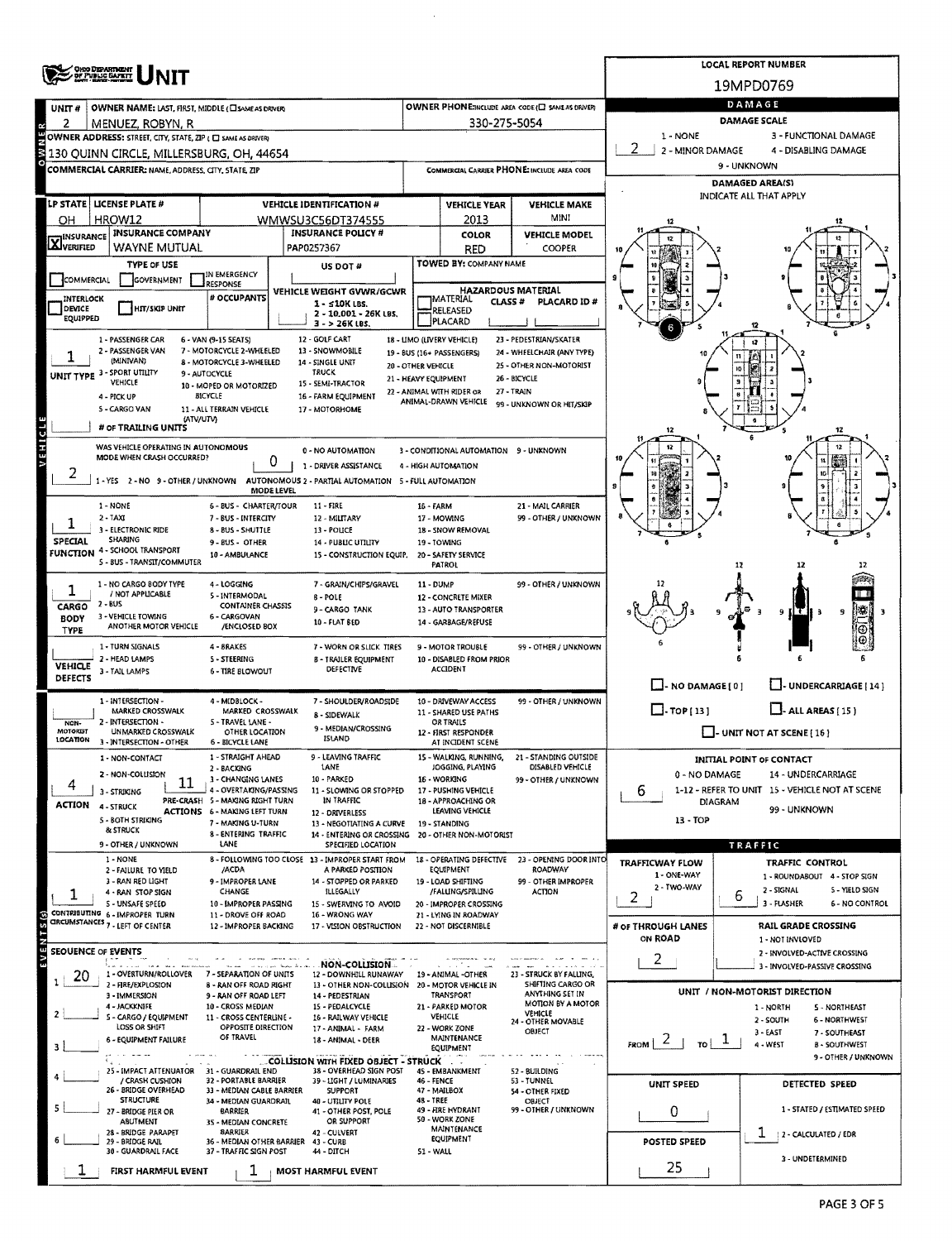|                                                                                                                                                                                                             | ONG DISPARTMENT<br>OF PUBLIC GAPETY                                          |                                                                        | <b>LOCAL REPORT NUMBER</b>                                              |                                            |                                                                |                                             |                                   |                                                                         |  |  |  |  |  |
|-------------------------------------------------------------------------------------------------------------------------------------------------------------------------------------------------------------|------------------------------------------------------------------------------|------------------------------------------------------------------------|-------------------------------------------------------------------------|--------------------------------------------|----------------------------------------------------------------|---------------------------------------------|-----------------------------------|-------------------------------------------------------------------------|--|--|--|--|--|
|                                                                                                                                                                                                             |                                                                              |                                                                        |                                                                         |                                            |                                                                |                                             |                                   | 19MPD0769                                                               |  |  |  |  |  |
| UNIT#                                                                                                                                                                                                       | OWNER NAME: LAST, FIRST, MIDDLE (CI SAME AS DRIVER)                          |                                                                        | DAMAGE                                                                  |                                            |                                                                |                                             |                                   |                                                                         |  |  |  |  |  |
| 2                                                                                                                                                                                                           | MENUEZ, ROBYN, R                                                             |                                                                        | 330-275-5054                                                            | DAMAGE SCALE                               |                                                                |                                             |                                   |                                                                         |  |  |  |  |  |
| <b>WWE</b><br>1 - NONE<br>3 - FUNCTIONAL DAMAGE<br>OWNER ADDRESS: STREET, CITY, STATE, ZIP ( C SAME AS DRIVER)<br>2<br>2 - MINOR DAMAGE<br>4 - DISABLING DAMAGE<br>130 QUINN CIRCLE, MILLERSBURG, OH, 44654 |                                                                              |                                                                        |                                                                         |                                            |                                                                |                                             |                                   |                                                                         |  |  |  |  |  |
|                                                                                                                                                                                                             | COMMERCIAL CARRIER: NAME, ADDRESS, CITY, STATE, ZIP                          |                                                                        |                                                                         |                                            |                                                                | COMMERCIAL CARRIER PHONE: INCLUDE AREA CODE | 9 - UNKNOWN                       |                                                                         |  |  |  |  |  |
|                                                                                                                                                                                                             |                                                                              |                                                                        |                                                                         |                                            |                                                                |                                             |                                   | <b>DAMAGED AREA(S)</b>                                                  |  |  |  |  |  |
|                                                                                                                                                                                                             | LP STATE   LICENSE PLATE #                                                   |                                                                        | <b>VEHICLE IDENTIFICATION #</b>                                         |                                            | <b>VEHICLE YEAR</b>                                            | <b>VEHICLE MAKE</b>                         |                                   | INDICATE ALL THAT APPLY                                                 |  |  |  |  |  |
| OН                                                                                                                                                                                                          | HROW12                                                                       |                                                                        | WMWSU3C56DT374555                                                       |                                            | 2013                                                           | MINI                                        |                                   |                                                                         |  |  |  |  |  |
| <b>X</b> INSURANCE                                                                                                                                                                                          | <b>INSURANCE COMPANY</b>                                                     |                                                                        | <b>INSURANCE POLICY #</b>                                               |                                            | <b>COLOR</b>                                                   | <b>VEHICLE MODEL</b>                        |                                   |                                                                         |  |  |  |  |  |
|                                                                                                                                                                                                             | WAYNE MUTUAL<br>TYPE OF USE                                                  |                                                                        | PAP0257367                                                              |                                            | <b>RED</b><br>TOWED BY: COMPANY NAME                           | COOPER                                      |                                   |                                                                         |  |  |  |  |  |
| COMMERCIAL                                                                                                                                                                                                  | <b>IGOVERNMENT</b>                                                           | IN EMERGENCY<br><b>RESPONSE</b>                                        | US DOT#                                                                 |                                            |                                                                |                                             | я                                 |                                                                         |  |  |  |  |  |
| INTERLOCK                                                                                                                                                                                                   |                                                                              | # OCCUPANTS                                                            | VEHICLE WEIGHT GVWR/GCWR<br>$1 - 510K$ LBS.                             |                                            | <b>HAZARDOUS MATERIAL</b><br><b>IMATERIAL</b><br><b>CLASS#</b> | PLACARD ID#                                 |                                   |                                                                         |  |  |  |  |  |
| DEVICE<br>EQUIPPED                                                                                                                                                                                          | HIT/SKIP UNIT                                                                |                                                                        | 2 - 10,001 - 26K LBS.                                                   |                                            | RELEASED<br><b>PLACARD</b>                                     |                                             |                                   |                                                                         |  |  |  |  |  |
|                                                                                                                                                                                                             | 1 - PASSENGER CAR                                                            | 6 - VAN (9-15 SEATS)                                                   | 3 - > 26K LBS.<br>12 - GOLF CART                                        |                                            | 18 - LIMO (LIVERY VEHICLE)                                     | 23 - PEDESTRIAN/SKATER                      |                                   |                                                                         |  |  |  |  |  |
|                                                                                                                                                                                                             | 2 - PASSENGER VAN<br>(MINIVAN)                                               | 7 - MOTORCYCLE 2-WHEELED                                               | 13 - SNOWMOBILE                                                         |                                            | 19 - BUS (16+ PASSENGERS)                                      | 24 - WHEELCHAIR (ANY TYPE)                  |                                   |                                                                         |  |  |  |  |  |
|                                                                                                                                                                                                             | UNIT TYPE 3 - SPORT UTILITY                                                  | 8 - MOTORCYCLE 3-WHEELED<br>9 - AUTOCYCLE                              | 14 - SINGLE UNIT<br><b>TRUCK</b>                                        | 20 - OTHER VEHICLE<br>21 - HEAVY EQUIPMENT |                                                                | 25 - OTHER NON-MOTORIST<br>26 - BICYCLE     |                                   | ١Ö                                                                      |  |  |  |  |  |
|                                                                                                                                                                                                             | <b>VEHICLE</b><br>4 - PICK UP                                                | 10 - MOPED OR MOTORIZED<br>BICYCLE                                     | 15 - SEMI-TRACTOR<br>16 - FARM EQUIPMENT                                |                                            | 22 - ANIMAL WITH RIDER OR                                      | 27 - TRAIN                                  |                                   |                                                                         |  |  |  |  |  |
|                                                                                                                                                                                                             | 5 - CARGO VAN                                                                | 11 - ALL TERRAIN VEHICLE                                               | 17 - MOTORHOME                                                          |                                            | ANIMAL-DRAWN VEHICLE                                           | 99 - UNKNOWN OR HIT/SKIP                    |                                   |                                                                         |  |  |  |  |  |
|                                                                                                                                                                                                             | (ATV/UTV)<br># OF TRAILING UNITS                                             |                                                                        |                                                                         |                                            |                                                                |                                             | 12                                | 12                                                                      |  |  |  |  |  |
| VEHICLE                                                                                                                                                                                                     | WAS VEHICLE OPERATING IN AUTONOMOUS                                          |                                                                        | 0 - NO AUTOMATION                                                       |                                            | 3 - CONDITIONAL AUTOMATION 9 - UNKNOWN                         |                                             |                                   | 12                                                                      |  |  |  |  |  |
|                                                                                                                                                                                                             | MODE WHEN CRASH OCCURRED?                                                    | 0                                                                      | 1 - DRIVER ASSISTANCE                                                   |                                            | 4 - HIGH AUTOMATION                                            |                                             |                                   |                                                                         |  |  |  |  |  |
| $\mathcal{L}_{\mathcal{L}}$                                                                                                                                                                                 | 1-YES 2-NO 9-OTHER/UNKNOWN AUTONOMOUS 2-PARTIAL AUTOMATION 5-FULL AUTOMATION | <b>MODE LEVEL</b>                                                      |                                                                         |                                            |                                                                |                                             |                                   |                                                                         |  |  |  |  |  |
|                                                                                                                                                                                                             | 1 - NONE                                                                     | 6 - BUS - CHARTER/TOUR                                                 | $11 - FIRE$                                                             | 16 - FARM                                  |                                                                | 21 - MAIL CARRIER                           |                                   |                                                                         |  |  |  |  |  |
|                                                                                                                                                                                                             | $2 - TAXI$<br>3 - ELECTRONIC RIDE                                            | 7 - BUS - INTERCITY                                                    | 12 - MILITARY                                                           |                                            | 17 - MOWING                                                    | 99 - OTHER / UNKNOWN                        |                                   |                                                                         |  |  |  |  |  |
| SPECIAL                                                                                                                                                                                                     | <b>SHARING</b>                                                               | 8 - BUS - SHUTTLE<br>9 - BUS - OTHER                                   | 13 - POLICE<br>14 - PUBLIC UTILITY                                      |                                            | 18 - SNOW REMOVAL<br>19 - TOWING                               |                                             |                                   | ß                                                                       |  |  |  |  |  |
|                                                                                                                                                                                                             | FUNCTION 4 - SCHOOL TRANSPORT<br>5 - BUS - TRANSIT/COMMUTER                  | 10 - AMBULANCE                                                         | 15 - CONSTRUCTION EQUIP. 20 - SAFETY SERVICE                            |                                            | PATROL                                                         |                                             |                                   | 12                                                                      |  |  |  |  |  |
|                                                                                                                                                                                                             | 1 - NO CARGO BODY TYPE                                                       | 4 - LOGGING                                                            | 7 - GRAIN/CHIPS/GRAVEL                                                  | <b>11 - DUMP</b>                           |                                                                | 99 - OTHER / UNKNOWN                        |                                   |                                                                         |  |  |  |  |  |
| ı                                                                                                                                                                                                           | / NOT APPLICABLE<br>$2 - BUS$                                                | 5 - INTERMODAL                                                         | 8 - POLE                                                                |                                            | 12 - CONCRETE MIXER                                            |                                             |                                   |                                                                         |  |  |  |  |  |
| CARGO<br><b>BODY</b>                                                                                                                                                                                        | 3 - VEHICLE TOWING                                                           | CONTAINER CHASSIS<br>6 CARGOVAN                                        | 9-CARGO TANK<br>10 - FLAT BED                                           |                                            | 13 - AUTO TRANSPORTER<br>14 - GARBAGE/REFUSE                   |                                             |                                   | <b>HT</b><br>9<br>9                                                     |  |  |  |  |  |
| <b>TYPE</b>                                                                                                                                                                                                 | ANOTHER MOTOR VEHICLE                                                        | /ENCLOSED BOX                                                          |                                                                         |                                            |                                                                |                                             |                                   | ⊙                                                                       |  |  |  |  |  |
|                                                                                                                                                                                                             | 1 - TURN SIGNALS<br>2 - HEAD LAMPS                                           | 4 - BRAKES<br><b>S-STEERING</b>                                        | 7 - WORN OR SLICK TIRES<br><b>B - TRAILER EQUIPMENT</b>                 |                                            | 9 - MOTOR TROUBLE<br>10 - DISABLED FROM PRIOR                  | 99 - OTHER / UNKNOWN                        |                                   |                                                                         |  |  |  |  |  |
| VEHICLE<br>DEFECTS                                                                                                                                                                                          | 3 - TAIL LAMPS                                                               | 6 - TIRE BLOWOUT                                                       | DEFECTIVE                                                               |                                            | <b>ACCIDENT</b>                                                |                                             |                                   |                                                                         |  |  |  |  |  |
|                                                                                                                                                                                                             | 1 - INTERSECTION -                                                           | 4 - MIDBLOCK -                                                         | 7 - SHOULDER/ROADSIDE                                                   |                                            |                                                                | 99 - OTHER / UNKNOWN                        | $\Box$ - NO DAMAGE[0]             | - UNDERCARRIAGE [14]                                                    |  |  |  |  |  |
|                                                                                                                                                                                                             | MARKED CROSSWALK                                                             | MARKED CROSSWALK                                                       | 8 - SIDEWALK                                                            |                                            | 10 - DRIVEWAY ACCESS<br>11 - SHARED USE PATHS                  |                                             | $\Box$ -TOP(13)                   | $\Box$ - ALL AREAS (15)                                                 |  |  |  |  |  |
| NON-<br>MOTORIST                                                                                                                                                                                            | 2 - INTERSECTION -<br>UNMARKED CROSSWALK                                     | 5 - TRAVEL LANE -<br>OTHER LOCATION                                    | 9 - MEDIAN/CROSSING<br><b>ISLAND</b>                                    |                                            | OR TRAILS<br>12 - FIRST RESPONDER                              |                                             | $\Box$ - UNIT NOT AT SCENE [ 16 ] |                                                                         |  |  |  |  |  |
| <b>LOCATION</b>                                                                                                                                                                                             | 3 - INTERSECTION - OTHER                                                     | <b>6 - BICYCLE LANE</b>                                                |                                                                         |                                            | AT INCIDENT SCENE                                              |                                             |                                   |                                                                         |  |  |  |  |  |
|                                                                                                                                                                                                             | 1 - NON-CONTACT<br>2 - NON-COLLISION                                         | 1 - STRAIGHT AHEAD<br>2 - BACKING                                      | - LEAVING TRAFFIC<br>LANE                                               |                                            | - WALKING, RUNNING,<br>JOGGING, PLAYING                        | 21 - STANDING OUTSIDE<br>DISABLED VEHICLE   | 0 - NO DAMAGE                     | <b>INITIAL POINT OF CONTACT</b><br>14 - UNDERCARRIAGE                   |  |  |  |  |  |
| 4                                                                                                                                                                                                           | 11<br>3 - STRIKING                                                           | 3 - CHANGING LANES<br>4 - OVERTAKING/PASSING                           | 10 - PARKED<br>11 - SLOWING OR STOPPED                                  |                                            | 16 - WORKING<br>17 - PUSHING VEHICLE                           | 99 - OTHER / UNKNOWN                        | 6                                 | 1-12 - REFER TO UNIT 15 - VEHICLE NOT AT SCENE                          |  |  |  |  |  |
| ACTION                                                                                                                                                                                                      | 4 - STRUCK                                                                   | PRE-CRASH 5 - MAKING RIGHT TURN<br><b>ACTIONS 6 - MAKING LEFT TURN</b> | IN TRAFFIC<br>12 - DRIVERLESS                                           |                                            | 18 - APPROACHING OR<br>LEAVING VEHICLE                         |                                             | DIAGRAM                           | 99 - UNKNOWN                                                            |  |  |  |  |  |
|                                                                                                                                                                                                             | <b>S - BOTH STRIKING</b><br>& STRUCK                                         | 7 - MAKING U-TURN                                                      | 13 - NEGOTIATING A CURVE                                                |                                            | 19 - STANDING                                                  |                                             | 13 - TOP                          |                                                                         |  |  |  |  |  |
|                                                                                                                                                                                                             | 9 - OTHER / UNKNOWN                                                          | 8 - ENTERING TRAFFIC<br>LANE                                           | 14 - ENTERING OR CROSSING 20 - OTHER NON-MOTORIST<br>SPECIFIED LOCATION |                                            |                                                                |                                             |                                   | <b>TRAFFIC</b>                                                          |  |  |  |  |  |
|                                                                                                                                                                                                             | 1 - NONE<br>2 - FAILURE TO YIELD                                             | /ACDA                                                                  | 8 - FOLLOWING TOO CLOSE 13 - IMPROPER START FROM<br>A PARKED POSITION   |                                            | 18 - OPERATING DEFECTIVE<br>EQUIPMENT                          | 23 - OPENING DOOR INTO<br><b>ROADWAY</b>    | <b>TRAFFICWAY FLOW</b>            | TRAFFIC CONTROL                                                         |  |  |  |  |  |
|                                                                                                                                                                                                             | 3 - RAN RED LIGHT                                                            | 9 - IMPROPER LANE                                                      | 14 - STOPPED OR PARKED                                                  |                                            | 19 - LOAD SHIFTING                                             | 99 - OTHER IMPROPER                         | 1 - ONE-WAY<br>2 - TWO-WAY        | 1 - ROUNDABOUT 4 - STOP SIGN                                            |  |  |  |  |  |
|                                                                                                                                                                                                             | 4 - RAN STOP SIGN<br><b>S - UNSAFE SPEED</b>                                 | CHANGE<br>10 - IMPROPER PASSING                                        | ILLEGALLY<br>15 - SWERVING TO AVOID                                     |                                            | /FALUNG/SPILUNG<br>20 - IMPROPER CROSSING                      | ACTION                                      | 2                                 | 2 - SIGNAL<br>5 - YIELD SIGN<br>6<br>3 - FLASHER<br>6 - NO CONTROL      |  |  |  |  |  |
|                                                                                                                                                                                                             | CONTRIBUTING 6 - IMPROPER TURN<br>CIRCUMSTANCES 7 - LEFT OF CENTER           | 11 - DROVE OFF ROAD<br>12 - IMPROPER BACKING                           | 16 - WRONG WAY<br>17 - VISION OBSTRUCTION                               |                                            | 21 - LYING IN ROADWAY<br>22 - NOT DISCERNIBLE                  |                                             | # OF THROUGH LANES                | <b>RAIL GRADE CROSSING</b>                                              |  |  |  |  |  |
| $E$ V E N T S $(s)$                                                                                                                                                                                         |                                                                              |                                                                        |                                                                         |                                            |                                                                |                                             | ON ROAD                           | 1 - NOT INVLOVED                                                        |  |  |  |  |  |
| <b>SEQUENCE OF EVENTS</b>                                                                                                                                                                                   |                                                                              |                                                                        |                                                                         |                                            |                                                                |                                             | 2                                 | 2 - INVOLVED-ACTIVE CROSSING                                            |  |  |  |  |  |
| 20                                                                                                                                                                                                          | 1 - OVERTURN/ROLLOVER                                                        | 7 - SEPARATION OF UNITS                                                | NON-COLLISION<br>12 - DOWNHILL RUNAWAY 19 - ANIMAL -OTHER               |                                            |                                                                | 23 - STRUCK BY FALLING,                     |                                   | 3 - INVOLVED-PASSIVE CROSSING                                           |  |  |  |  |  |
|                                                                                                                                                                                                             | 2 - FIRE/EXPLOSION<br>3 - IMMERSION                                          | 8 - RAN OFF ROAD RIGHT<br>9 - RAN OFF ROAD LEFT                        | 13 - OTHER NON-COLLISION 20 - MOTOR VEHICLE IN<br>14 - PEDESTRIAN       |                                            | TRANSPORT                                                      | SHIFTING CARGO OR<br>ANYTHING SET IN        |                                   | UNIT / NON-MOTORIST DIRECTION                                           |  |  |  |  |  |
|                                                                                                                                                                                                             | 4 - JACKKNIFE<br>5 - CARGO / EQUIPMENT                                       | 10 - CROSS MEDIAN<br>11 - CROSS CENTERLINE -                           | 15 - PEDALCYCLE<br>16 - RAILWAY VEHICLE                                 |                                            | 21 - PARKED MOTOR<br>VEHICLE                                   | <b>MOTION BY A MOTOR</b><br><b>VEHICLE</b>  |                                   | 1 - NORTH<br>5 - NORTHEAST<br>2 - SOUTH<br><b>6 - NORTHWEST</b>         |  |  |  |  |  |
|                                                                                                                                                                                                             | LOSS OR SHIFT                                                                | OPPOSITE DIRECTION<br>OF TRAVEL                                        | 17 - ANIMAL - FARM                                                      |                                            | 22 - WORK ZONE<br>MAINTENANCE                                  | 24 - OTHER MOVABLE<br>OBJECT                |                                   | $3 - EAST$<br>7 - SOUTHEAST                                             |  |  |  |  |  |
|                                                                                                                                                                                                             | 6 - EQUIPMENT FAILURE                                                        |                                                                        | 18 - ANIMAL - DEER                                                      |                                            | EQUIPMENT                                                      |                                             | $\mathbf{z}$<br>FROM  <br>ا TO    | $\mathbf{I}$<br>4 - WEST<br><b>B - SOUTHWEST</b><br>9 - OTHER / UNKNOWN |  |  |  |  |  |
|                                                                                                                                                                                                             | 25 - IMPACT ATTENUATOR                                                       | 31 - GUARDRAIL END                                                     | COLLISION WITH FIXED OBJECT - STRUCK<br>38 - OVERHEAD SIGN POST         |                                            | 45 - EMBANKMENT                                                | $\sim$<br>52 - BUILDING                     |                                   |                                                                         |  |  |  |  |  |
|                                                                                                                                                                                                             | / CRASH CUSHION<br>26 - BRIDGE OVERHEAD                                      | <b>32 - PORTABLE BARRIER</b><br>33 - MEDIAN CABLE BARRIER              | 39 - LIGHT / LUMINARIES<br>SUPPORT                                      | 46 - FENCE                                 | 47 - MAILBOX                                                   | 53 - TUNNEL<br>54 - OTHER FIXED             | UNIT SPEED                        | DETECTED SPEED                                                          |  |  |  |  |  |
|                                                                                                                                                                                                             | <b>STRUCTURE</b><br>27 - BRIDGE PIER OR                                      | 34 - MEDIAN GUARDRAIL<br>BARRIER                                       | 40 - UTILITY POLE<br>41 - OTHER POST, POLE                              | 48 - TREE                                  | 49 - FIRE HYDRANT                                              | OBJECT<br>99 - OTHER / UNKNOWN              | 0                                 | 1 - STATED / ESTIMATED SPEED                                            |  |  |  |  |  |
|                                                                                                                                                                                                             | <b>ABUTMENT</b><br>28 - BRIDGE PARAPET                                       | 35 - MEDIAN CONCRETE<br><b>BARRIER</b>                                 | OR SUPPORT<br>42 - CULVERT                                              |                                            | 50 - WORK ZONE<br><b>MAINTENANCE</b>                           |                                             |                                   |                                                                         |  |  |  |  |  |
|                                                                                                                                                                                                             | T<br>  2 - CALCULATED / EDR                                                  |                                                                        |                                                                         |                                            |                                                                |                                             |                                   |                                                                         |  |  |  |  |  |
|                                                                                                                                                                                                             | 30 - GUARDRAIL FACE<br><b>FIRST HARMFUL EVENT</b>                            | 37 - TRAFFIC SIGN POST                                                 | 44 - DITCH                                                              | 51 WALL                                    |                                                                |                                             | 25                                | 3 - UNDETERMINED                                                        |  |  |  |  |  |
|                                                                                                                                                                                                             |                                                                              |                                                                        | <b>MOST HARMFUL EVENT</b>                                               |                                            |                                                                |                                             |                                   |                                                                         |  |  |  |  |  |

 $\bar{\beta}$